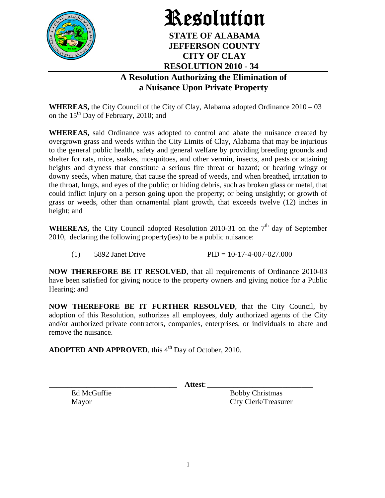

## Resolution **STATE OF ALABAMA**

## **JEFFERSON COUNTY CITY OF CLAY RESOLUTION 2010 - 34**

## **A Resolution Authorizing the Elimination of a Nuisance Upon Private Property**

**WHEREAS,** the City Council of the City of Clay, Alabama adopted Ordinance 2010 – 03 on the  $15<sup>th</sup>$  Day of February, 2010; and

**WHEREAS,** said Ordinance was adopted to control and abate the nuisance created by overgrown grass and weeds within the City Limits of Clay, Alabama that may be injurious to the general public health, safety and general welfare by providing breeding grounds and shelter for rats, mice, snakes, mosquitoes, and other vermin, insects, and pests or attaining heights and dryness that constitute a serious fire threat or hazard; or bearing wingy or downy seeds, when mature, that cause the spread of weeds, and when breathed, irritation to the throat, lungs, and eyes of the public; or hiding debris, such as broken glass or metal, that could inflict injury on a person going upon the property; or being unsightly; or growth of grass or weeds, other than ornamental plant growth, that exceeds twelve (12) inches in height; and

WHEREAS, the City Council adopted Resolution 2010-31 on the 7<sup>th</sup> day of September 2010, declaring the following property(ies) to be a public nuisance:

(1) 5892 Janet Drive PID =  $10-17-4-007-027.000$ 

**NOW THEREFORE BE IT RESOLVED**, that all requirements of Ordinance 2010-03 have been satisfied for giving notice to the property owners and giving notice for a Public Hearing; and

**NOW THEREFORE BE IT FURTHER RESOLVED**, that the City Council, by adoption of this Resolution, authorizes all employees, duly authorized agents of the City and/or authorized private contractors, companies, enterprises, or individuals to abate and remove the nuisance.

**ADOPTED AND APPROVED**, this 4<sup>th</sup> Day of October, 2010.

\_\_\_\_\_\_\_\_\_\_\_\_\_\_\_\_\_\_\_\_\_\_\_\_\_\_\_\_\_\_\_\_\_\_ **Attest**: \_\_\_\_\_\_\_\_\_\_\_\_\_\_\_\_\_\_\_\_\_\_\_\_\_\_\_\_

Ed McGuffie Bobby Christmas Mayor City Clerk/Treasurer